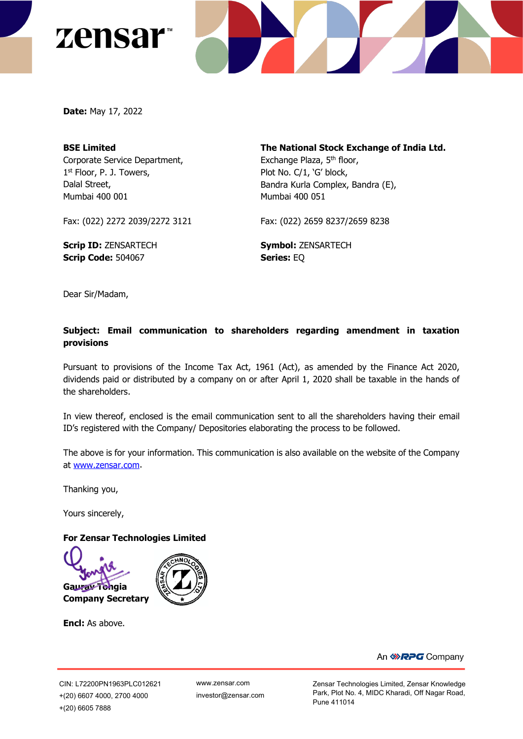



**Date:** May 17, 2022

# **BSE Limited** Corporate Service Department, 1<sup>st</sup> Floor, P. J. Towers, Dalal Street, Mumbai 400 001

**The National Stock Exchange of India Ltd.** Exchange Plaza, 5<sup>th</sup> floor, Plot No. C/1, 'G' block, Bandra Kurla Complex, Bandra (E), Mumbai 400 051

Fax: (022) 2272 2039/2272 3121

**Scrip ID:** ZENSARTECH **Scrip Code:** 504067

Fax: (022) 2659 8237/2659 8238

**Symbol:** ZENSARTECH **Series:** EQ

Dear Sir/Madam,

# **Subject: Email communication to shareholders regarding amendment in taxation provisions**

Pursuant to provisions of the Income Tax Act, 1961 (Act), as amended by the Finance Act 2020, dividends paid or distributed by a company on or after April 1, 2020 shall be taxable in the hands of the shareholders.

In view thereof, enclosed is the email communication sent to all the shareholders having their email ID's registered with the Company/ Depositories elaborating the process to be followed.

The above is for your information. This communication is also available on the website of the Company at [www.zensar.com.](http://www.zensar.com/)

Thanking you,

Yours sincerely,

#### **For Zensar Technologies Limited**



**Encl:** As above.



[www.zensar.com](http://www.zensar.com/) investor@zensar.com Zensar Technologies Limited, Zensar Knowledge Park, Plot No. 4, MIDC Kharadi, Off Nagar Road, Pune 411014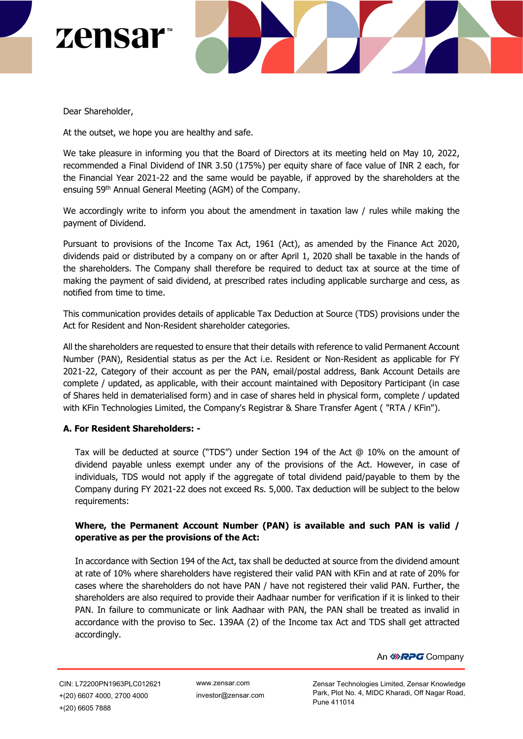



Dear Shareholder,

At the outset, we hope you are healthy and safe.

We take pleasure in informing you that the Board of Directors at its meeting held on May 10, 2022, recommended a Final Dividend of INR 3.50 (175%) per equity share of face value of INR 2 each, for the Financial Year 2021-22 and the same would be payable, if approved by the shareholders at the ensuing 59th Annual General Meeting (AGM) of the Company.

We accordingly write to inform you about the amendment in taxation law / rules while making the payment of Dividend.

Pursuant to provisions of the Income Tax Act, 1961 (Act), as amended by the Finance Act 2020, dividends paid or distributed by a company on or after April 1, 2020 shall be taxable in the hands of the shareholders. The Company shall therefore be required to deduct tax at source at the time of making the payment of said dividend, at prescribed rates including applicable surcharge and cess, as notified from time to time.

This communication provides details of applicable Tax Deduction at Source (TDS) provisions under the Act for Resident and Non-Resident shareholder categories.

All the shareholders are requested to ensure that their details with reference to valid Permanent Account Number (PAN), Residential status as per the Act i.e. Resident or Non-Resident as applicable for FY 2021-22, Category of their account as per the PAN, email/postal address, Bank Account Details are complete / updated, as applicable, with their account maintained with Depository Participant (in case of Shares held in dematerialised form) and in case of shares held in physical form, complete / updated with KFin Technologies Limited, the Company's Registrar & Share Transfer Agent ( "RTA / KFin").

#### **A. For Resident Shareholders: -**

Tax will be deducted at source ("TDS") under Section 194 of the Act @ 10% on the amount of dividend payable unless exempt under any of the provisions of the Act. However, in case of individuals, TDS would not apply if the aggregate of total dividend paid/payable to them by the Company during FY 2021-22 does not exceed Rs. 5,000. Tax deduction will be subject to the below requirements:

### **Where, the Permanent Account Number (PAN) is available and such PAN is valid / operative as per the provisions of the Act:**

In accordance with Section 194 of the Act, tax shall be deducted at source from the dividend amount at rate of 10% where shareholders have registered their valid PAN with KFin and at rate of 20% for cases where the shareholders do not have PAN / have not registered their valid PAN. Further, the shareholders are also required to provide their Aadhaar number for verification if it is linked to their PAN. In failure to communicate or link Aadhaar with PAN, the PAN shall be treated as invalid in accordance with the proviso to Sec. 139AA (2) of the Income tax Act and TDS shall get attracted accordingly.

[www.zensar.com](http://www.zensar.com/) investor@zensar.com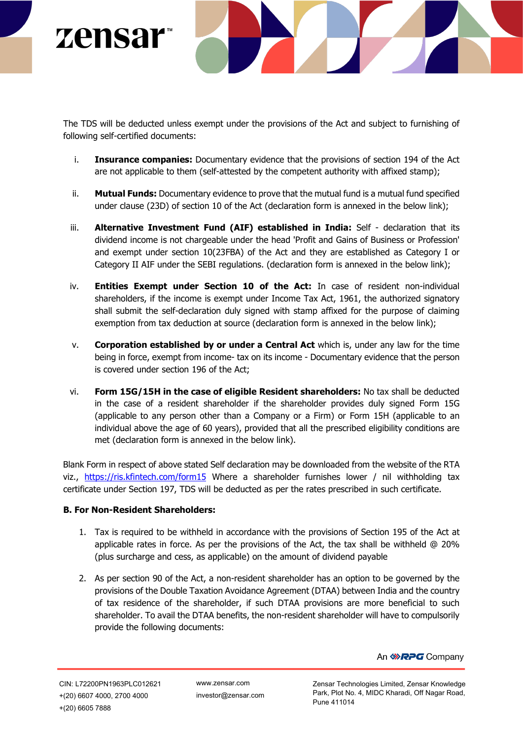

The TDS will be deducted unless exempt under the provisions of the Act and subject to furnishing of following self-certified documents:

- i. **Insurance companies:** Documentary evidence that the provisions of section 194 of the Act are not applicable to them (self-attested by the competent authority with affixed stamp);
- ii. **Mutual Funds:** Documentary evidence to prove that the mutual fund is a mutual fund specified under clause (23D) of section 10 of the Act (declaration form is annexed in the below link);
- iii. **Alternative Investment Fund (AIF) established in India:** Self declaration that its dividend income is not chargeable under the head 'Profit and Gains of Business or Profession' and exempt under section 10(23FBA) of the Act and they are established as Category I or Category II AIF under the SEBI regulations. (declaration form is annexed in the below link);
- iv. **Entities Exempt under Section 10 of the Act:** In case of resident non-individual shareholders, if the income is exempt under Income Tax Act, 1961, the authorized signatory shall submit the self-declaration duly signed with stamp affixed for the purpose of claiming exemption from tax deduction at source (declaration form is annexed in the below link);
- v. **Corporation established by or under a Central Act** which is, under any law for the time being in force, exempt from income- tax on its income - Documentary evidence that the person is covered under section 196 of the Act;
- vi. **Form 15G/15H in the case of eligible Resident shareholders:** No tax shall be deducted in the case of a resident shareholder if the shareholder provides duly signed Form 15G (applicable to any person other than a Company or a Firm) or Form 15H (applicable to an individual above the age of 60 years), provided that all the prescribed eligibility conditions are met (declaration form is annexed in the below link).

Blank Form in respect of above stated Self declaration may be downloaded from the website of the RTA viz., <https://ris.kfintech.com/form15> Where a shareholder furnishes lower / nil withholding tax certificate under Section 197, TDS will be deducted as per the rates prescribed in such certificate.

### **B. For Non-Resident Shareholders:**

- 1. Tax is required to be withheld in accordance with the provisions of Section 195 of the Act at applicable rates in force. As per the provisions of the Act, the tax shall be withheld @ 20% (plus surcharge and cess, as applicable) on the amount of dividend payable
- 2. As per section 90 of the Act, a non-resident shareholder has an option to be governed by the provisions of the Double Taxation Avoidance Agreement (DTAA) between India and the country of tax residence of the shareholder, if such DTAA provisions are more beneficial to such shareholder. To avail the DTAA benefits, the non-resident shareholder will have to compulsorily provide the following documents:

An *DRPG* Company

[www.zensar.com](http://www.zensar.com/) investor@zensar.com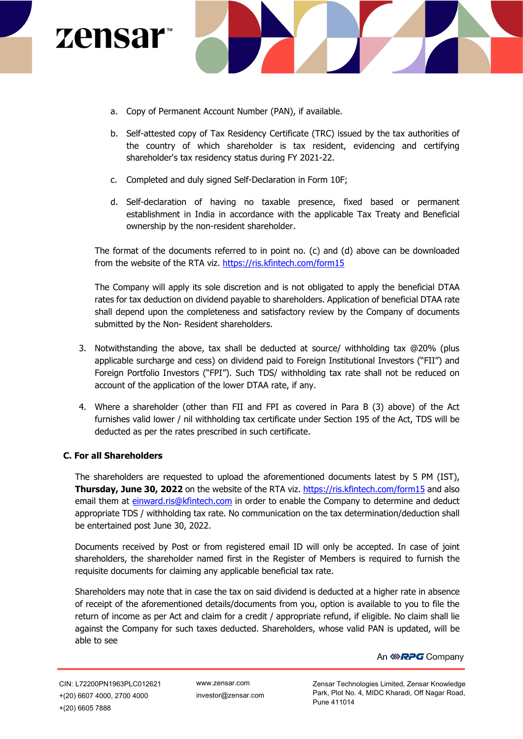



- a. Copy of Permanent Account Number (PAN), if available.
- b. Self-attested copy of Tax Residency Certificate (TRC) issued by the tax authorities of the country of which shareholder is tax resident, evidencing and certifying shareholder's tax residency status during FY 2021-22.
- c. Completed and duly signed Self-Declaration in Form 10F;
- d. Self-declaration of having no taxable presence, fixed based or permanent establishment in India in accordance with the applicable Tax Treaty and Beneficial ownership by the non-resident shareholder.

The format of the documents referred to in point no. (c) and (d) above can be downloaded from the website of the RTA viz. [https://ris.kfintech.com/form15](https://secure-web.cisco.com/1qltb99uOqsCc5Q6Io4MeDJlBv17jlMda5BQI4zf9JbJTPMdE1KPgspw2t1q7mgs4uEJf0RXg-bvENT9tCvC3AGQP0a9HE3ZzYWLb9YplnEF4lfzwAV3CPYMsUodpG5dzfF3FW8VyPhPNvnoEab3JCFylcb849XnW2zVyAY8wmQQcn9A4w2d2UophygDIzf6m6rh2lzQSKLLyrwObj8k5p4H0Rbz8s9suYlkGPAuDlvYMgIfHiZ_8QI1yrfgh75TqBepm1KImv1jEhSTFPQrReJzN9KOusq_EStPrAAxHSWlEC1kCeZV7BQsScUP_BU0Uk0QjXJrPNsXKYALd6kvkwRzLyiuPlRi8Nremmdp92PDvRrtbIviNvN2ky4y9wspqguRClCZZ1xzg-CHKspVB8cn7Erj9JzaW42qEfUq4qfM/https%3A%2F%2Fris.kfintech.com%2Fform15) 

The Company will apply its sole discretion and is not obligated to apply the beneficial DTAA rates for tax deduction on dividend payable to shareholders. Application of beneficial DTAA rate shall depend upon the completeness and satisfactory review by the Company of documents submitted by the Non- Resident shareholders.

- 3. Notwithstanding the above, tax shall be deducted at source/ withholding tax @20% (plus applicable surcharge and cess) on dividend paid to Foreign Institutional Investors ("FII") and Foreign Portfolio Investors ("FPI"). Such TDS/ withholding tax rate shall not be reduced on account of the application of the lower DTAA rate, if any.
- 4. Where a shareholder (other than FII and FPI as covered in Para B (3) above) of the Act furnishes valid lower / nil withholding tax certificate under Section 195 of the Act, TDS will be deducted as per the rates prescribed in such certificate.

### **C. For all Shareholders**

The shareholders are requested to upload the aforementioned documents latest by 5 PM (IST), **Thursday, June 30, 2022** on the website of the RTA viz. [https://ris.kfintech.com/form15](https://secure-web.cisco.com/1qltb99uOqsCc5Q6Io4MeDJlBv17jlMda5BQI4zf9JbJTPMdE1KPgspw2t1q7mgs4uEJf0RXg-bvENT9tCvC3AGQP0a9HE3ZzYWLb9YplnEF4lfzwAV3CPYMsUodpG5dzfF3FW8VyPhPNvnoEab3JCFylcb849XnW2zVyAY8wmQQcn9A4w2d2UophygDIzf6m6rh2lzQSKLLyrwObj8k5p4H0Rbz8s9suYlkGPAuDlvYMgIfHiZ_8QI1yrfgh75TqBepm1KImv1jEhSTFPQrReJzN9KOusq_EStPrAAxHSWlEC1kCeZV7BQsScUP_BU0Uk0QjXJrPNsXKYALd6kvkwRzLyiuPlRi8Nremmdp92PDvRrtbIviNvN2ky4y9wspqguRClCZZ1xzg-CHKspVB8cn7Erj9JzaW42qEfUq4qfM/https%3A%2F%2Fris.kfintech.com%2Fform15) and also email them at [einward.ris@kfintech.com](mailto:%20einward.ris@kfintech.com) in order to enable the Company to determine and deduct appropriate TDS / withholding tax rate. No communication on the tax determination/deduction shall be entertained post June 30, 2022.

Documents received by Post or from registered email ID will only be accepted. In case of joint shareholders, the shareholder named first in the Register of Members is required to furnish the requisite documents for claiming any applicable beneficial tax rate.

Shareholders may note that in case the tax on said dividend is deducted at a higher rate in absence of receipt of the aforementioned details/documents from you, option is available to you to file the return of income as per Act and claim for a credit / appropriate refund, if eligible. No claim shall lie against the Company for such taxes deducted. Shareholders, whose valid PAN is updated, will be able to see

[www.zensar.com](http://www.zensar.com/) investor@zensar.com